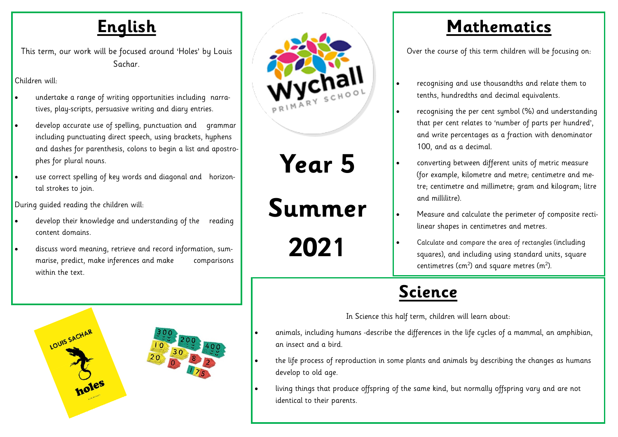### **English**

This term, our work will be focused around 'Holes' by Louis Sachar.

Children will:

- undertake a range of writing opportunities including narratives, play-scripts, persuasive writing and diary entries.
- develop accurate use of spelling, punctuation and grammar including punctuating direct speech, using brackets, hyphens and dashes for parenthesis, colons to begin a list and apostrophes for plural nouns.
- use correct spelling of key words and diagonal and horizontal strokes to join.

During guided reading the children will:

- develop their knowledge and understanding of the reading content domains.
- discuss word meaning, retrieve and record information, summarise, predict, make inferences and make comparisons within the text.





**Year 5** 

**Summer** 

**2021**

### **Mathematics**

Over the course of this term children will be focusing on:

- recognising and use thousandths and relate them to tenths, hundredths and decimal equivalents.
- recognising the per cent symbol (%) and understanding that per cent relates to 'number of parts per hundred', and write percentages as a fraction with denominator 100, and as a decimal.
	- converting between different units of metric measure (for example, kilometre and metre; centimetre and metre; centimetre and millimetre; gram and kilogram; litre and millilitre).
- Measure and calculate the perimeter of composite rectilinear shapes in centimetres and metres.
- Calculate and compare the area of rectangles (including squares), and including using standard units, square centimetres (cm<sup>2</sup>) and square metres (m<sup>2</sup>).

## **Science**

In Science this half term, children will learn about:

- animals, including humans -describe the differences in the life cycles of a mammal, an amphibian, an insect and a bird.
- the life process of reproduction in some plants and animals by describing the changes as humans develop to old age.
- living things that produce offspring of the same kind, but normally offspring vary and are not identical to their parents.